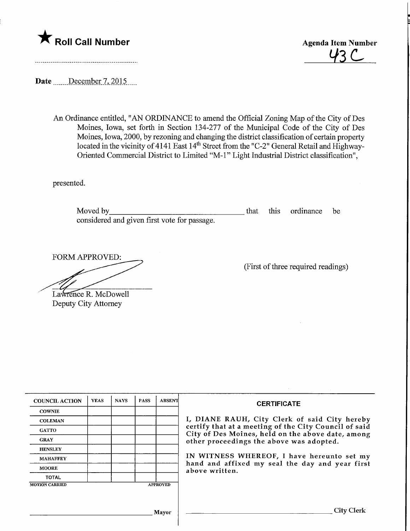



Date December 7, 2015

An Ordinance entitled, "AN ORDINANCE to amend the Official Zoning Map of the City of Des Moines, Iowa, set forth in Section 134-277 of the Municipal Code of the City of Des Moines, Iowa, 2000, by rezoning and changing the district classification of certain property located in the vicinity of 4141 East 14<sup>th</sup> Street from the "C-2" General Retail and Highway-Oriented Commercial District to Limited "M-l" Light Industrial District classification",

presented.

Moved by that this ordinance be considered and given first vote for passage.

FORM APPROVED:

(First of three required readings)

Lawrence R. McDowell Deputy City Attorney

| <b>COUNCIL ACTION</b> | <b>YEAS</b> | <b>NAYS</b> | <b>PASS</b> | <b>ABSENT</b>   | <b>CERTIFICATE</b>                                                                                                                                     |
|-----------------------|-------------|-------------|-------------|-----------------|--------------------------------------------------------------------------------------------------------------------------------------------------------|
| <b>COWNIE</b>         |             |             |             |                 |                                                                                                                                                        |
| <b>COLEMAN</b>        |             |             |             |                 | I, DIANE RAUH, City Clerk of said City hereby                                                                                                          |
| <b>GATTO</b>          |             |             |             |                 | certify that at a meeting of the City Council of said<br>City of Des Moines, held on the above date, among<br>other proceedings the above was adopted. |
| <b>GRAY</b>           |             |             |             |                 |                                                                                                                                                        |
| <b>HENSLEY</b>        |             |             |             |                 |                                                                                                                                                        |
| <b>MAHAFFEY</b>       |             |             |             |                 | IN WITNESS WHEREOF, I have hereunto set my                                                                                                             |
| <b>MOORE</b>          |             |             |             |                 | hand and affixed my seal the day and year first<br>above written.                                                                                      |
| <b>TOTAL</b>          |             |             |             |                 |                                                                                                                                                        |
| <b>MOTION CARRIED</b> |             |             |             | <b>APPROVED</b> |                                                                                                                                                        |
|                       |             |             |             |                 |                                                                                                                                                        |
|                       |             |             |             |                 |                                                                                                                                                        |
|                       |             |             |             | <b>Mayor</b>    | City Clerk                                                                                                                                             |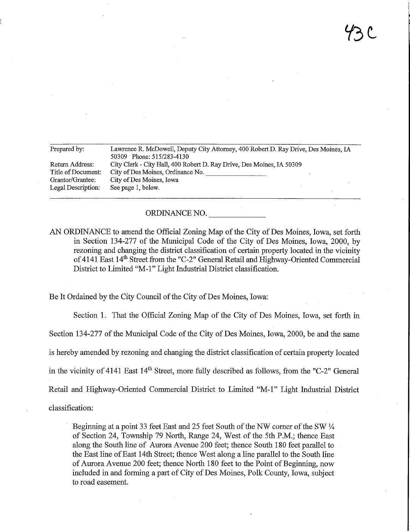| Prepared by:       | Lawrence R. McDowell, Deputy City Attorney, 400 Robert D. Ray Drive, Des Moines, IA |  |  |  |  |  |
|--------------------|-------------------------------------------------------------------------------------|--|--|--|--|--|
|                    | 50309 Phone: 515/283-4130                                                           |  |  |  |  |  |
| Return Address:    | City Clerk - City Hall, 400 Robert D. Ray Drive, Des Moines, IA 50309               |  |  |  |  |  |
| Title of Document: | City of Des Moines, Ordinance No.                                                   |  |  |  |  |  |
| Grantor/Grantee:   | City of Des Moines, Iowa                                                            |  |  |  |  |  |
| Legal Description: | See page 1, below.                                                                  |  |  |  |  |  |
|                    |                                                                                     |  |  |  |  |  |

## ORDINANCE NO.

AN ORDINANCE to amend the Official Zoning Map of the City of Des Moines, Iowa, set forth in Section 134-277 of the Municipal Code of the City of Des Momes, Iowa, 2000, by rezoning and changing the district classification of certain property located m the vicinity of 4141 East 14<sup>th</sup> Street from the "C-2" General Retail and Highway-Oriented Commercial District to Limited "M-l" Light Industrial District classification.

Be It Ordained by the City Council of the City of Des Moines, Iowa:

Section 1. That the Official Zoning Map of the City of Des Moines, Iowa, set forth in Section 134-277 of the Municipal Code of the City of Des Moines, Iowa, 2000, be and the same is hereby amended by rezoning and changing the district classification of certain property located in the vicinity of 4141 East  $14<sup>th</sup>$  Street, more fully described as follows, from the "C-2" General Retail and Highway-Oriented Commercial District to Limited "M-1" Light Industrial District

classification:

Beginning at a point 33 feet East and 25 feet South of the NW corner of the SW  $\frac{1}{4}$ of Section 24, Township 79 North, Range 24, West of the 5th P.M.; thence East along the South line of Aurora Avenue 200 feet; thence South 180 feet parallel to the East line of East 14th Street; thence West along a line parallel to the South line of Aurora Avenue 200 feet; thence North 180 feet to the Point of Beginning, now included in and forming a part of City of Des Moines, Polk County, Iowa, subject to road easement.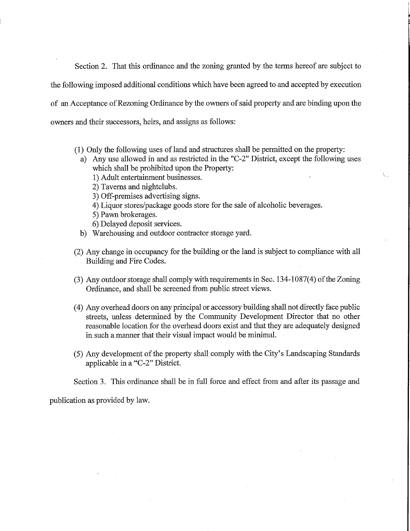Section 2. That this ordinance and the zoning granted by the terms hereof are subject to the following imposed additional conditions which have been agreed to and accepted by execution of an Acceptance of Rezoning Ordinance by the owners of said property and are binding upon the owners and their successors, heirs, and assigns as follows:

- (1) Only the following uses of land and structures shall be permitted on the property:
	- a) Any use allowed in and as restricted in the "C-2" District, except the following uses which shall be prohibited upon the Property:
		- 1) Adult entertainment businesses.
		- 2) Taverns and nightclubs.
		- 3) Off-premises advertising signs.
		- 4) Liquor stores/package goods store for the sale of alcoholic beverages.
		- 5) Pawn brokerages.
		- 6) Delayed deposit services.
	- b) Warehousing and outdoor contractor storage yard.
- (2) Any change in occupancy for the building or the land is subject to compliance with all Building and Fire Codes.
- (3) Any outdoor storage shall comply with requirements in Sec. 134-1087(4) of the Zoning Ordinance, and shall be screened from public street views.
- (4) Any overhead doors on any principal or accessory building shall not directly face public streets, unless determined by the Community Development Director that no other reasonable location for the overhead doors exist and that they are adequately designed in such a manner that their visual impact would be minimal.
- (5) Any development of the property shall comply with the City's Landscaping Standards applicable in a "C-2" District.

Section 3. This ordinance shall be in full force and effect from and after its passage and

publication as provided by law.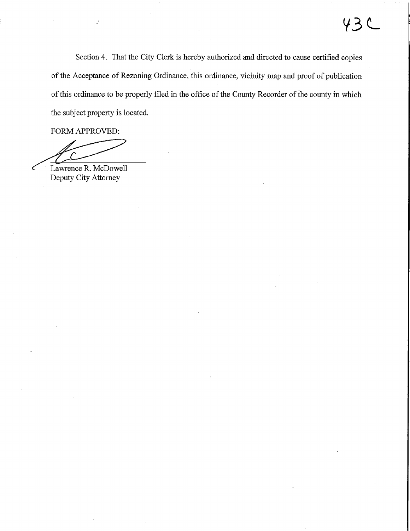Section 4. That the City Clerk is hereby authorized and directed to cause certified copies of the Acceptance of Rezoning Ordinance, this ordinance, vicinity map and proof of publication of this ordinance to be properly filed in the office of the County Recorder of the county in which the subject property is located.

FORM APPROVED:

Lawrence R. McDowell Deputy City Attorney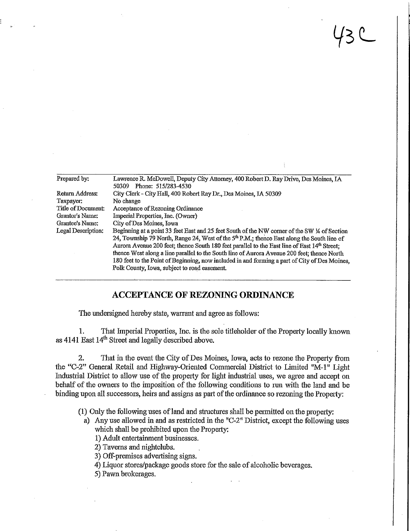| Prepared by:       | Lawrence R. McDowell, Deputy City Attorney, 400 Robert D. Ray Drive, Des Moines, IA<br>Phone: 515/283-4530<br>50309                                                                                                                                                                                                                                                                                                                                                                                                                         |  |  |  |  |
|--------------------|---------------------------------------------------------------------------------------------------------------------------------------------------------------------------------------------------------------------------------------------------------------------------------------------------------------------------------------------------------------------------------------------------------------------------------------------------------------------------------------------------------------------------------------------|--|--|--|--|
| Return Address:    | City Clerk - City Hall, 400 Robert Ray Dr., Des Moines, IA 50309                                                                                                                                                                                                                                                                                                                                                                                                                                                                            |  |  |  |  |
| Taxpayer:          | No change                                                                                                                                                                                                                                                                                                                                                                                                                                                                                                                                   |  |  |  |  |
| Title of Document: | Acceptance of Rezoning Ordinance                                                                                                                                                                                                                                                                                                                                                                                                                                                                                                            |  |  |  |  |
| Grantor's Name:    | Imperial Properties, Inc. (Owner)                                                                                                                                                                                                                                                                                                                                                                                                                                                                                                           |  |  |  |  |
| Grantee's Name:    | City of Des Moines, Iowa                                                                                                                                                                                                                                                                                                                                                                                                                                                                                                                    |  |  |  |  |
| Legal Description: | Beginning at a point 33 feet East and 25 feet South of the NW corner of the SW ¼ of Section<br>24, Township 79 North, Range 24, West of the $5th$ P.M.; thence East along the South line of<br>Aurora Avenue 200 feet; thence South 180 feet parallel to the East line of East 14th Street;<br>thence West along a line parallel to the South line of Aurora Avenue 200 feet; thence North<br>180 feet to the Point of Beginning, now included in and forming a part of City of Des Moines,<br>Polk County, Iowa, subject to road easement. |  |  |  |  |

 $43C$ 

## ACCEPTANCE OF KEZONING ORDINANCE

The undersigned hereby state, warrant and agree as follows:

1. That Imperial Properties, Inc. is the sole tideholder of the Property locally known as 4141 East 14<sup>th</sup> Street and legally described above.

2. That in the event the City of Des Moines, Iowa, acts to rezone the Property from the "C-2" General Retail and Highway-Oriented Commercial District to Limited "M-1" Light Industrial District to atlow use of the property for light industrial uses, we agree and accept on behalf of the owners to the imposition of the following conditions to run with the land and be binding upon all successors, heirs and assigns as part of the ordinance so rezoning the Property:

(1) Only the following uses of land and structures shall be permitted on the property:

a) Any use allowed in and as restricted in the "C-2" District, except the following uses which shall be prohibited upon the Property:

1) Adult entertainment businesses.

2) Taverns and nightclubs.

3) Off-premises advertising signs.

4) Liquor stores/package goods store for the sale of alcoholic beverages.

5) Pawn brokerages.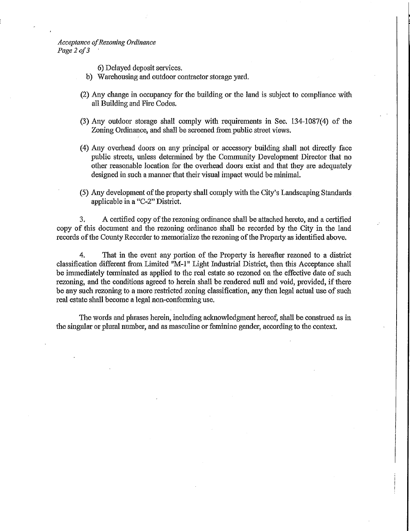Acceptance of Rezoning Ordinance Page 2 of 3

6) Delayed deposit services.

- b) Warehousing and outdoor contractor storage yard.
- (2) Any change in occupancy for the building or the land is subject to compliance with all Building and Fire Codes.
- (3) Any outdoor storage shall comply with requirements m Sec. 134-1087(4) of the Zoning Ordinance, and shall be screened from public street views.
- (4) Any overhead doors on any principal or accessory building shall not directly face public streets, unless detenmned by the Community Development Director that no other reasonable location for the overhead doors exist and that they are adequately designed in such a manner that their visual impact would be minimal.
- (5) Any development of die property shall comply with the City's Landscaping Standards applicable in a "C-2" District.

3. A certified copy of the rezoniug ordinance shall be attached hereto, and a certified copy of this document and the rezoning ordinance shall be recorded by the City in the land records of the County Recorder to memorialize the rezoning of the Property as identified above.

4. That in the event any portion of the Property is hereafter rezoned to a district classification different from Limited "M-l" Light Industrial District, then this Acceptance shall be immediately terminated as applied to the real estate so rezoned on the effective date of such rezoning, and the conditions agreed to herein shall be rendered null and void, provided, if there be any such rezoning to a more restricted zoning classification, any then legal actual use of such real estate shall become a legal non-conforming use,

The words and phrases herein, including acknowledgment hereof, shall be construed as in the singular or plural number, and as masculine or feminine gender, according to the context.